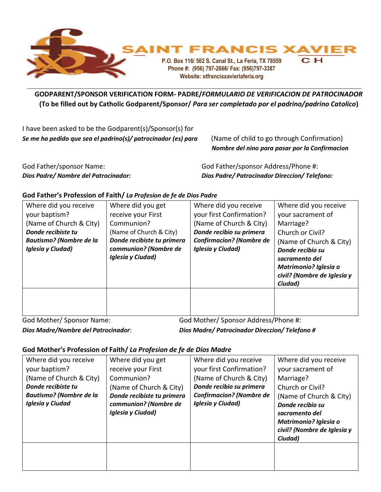

## **GODPARENT/SPONSOR VERIFICATION FORM- PADRE/***FORMULARIO DE VERIFICACION DE PATROCINADOR* **(To be filled out by Catholic Godparent/Sponsor/** *Para ser completado por el padrino/padrino Catolico***) W**

| I have been asked to be the Godparent(s)/Sponsor(s) for       |                                                                                              |
|---------------------------------------------------------------|----------------------------------------------------------------------------------------------|
| Se me ha pedido que sea el padrino(s)/ patrocinador (es) para | (Name of child to go through Confirmation)<br>Nombre del nino para pasar por la Confirmacion |
| God Father/sponsor Name:                                      | God Father/sponsor Address/Phone #:                                                          |

*Dios Padre/ Nombre del Patrocinador: Dios Padre/ Patrocinador Direccion/ Telefono:*

## **God Father's Profession of Faith/** *La Profesion de fe de Dios Padre*

| Where did you receive<br>your baptism?<br>(Name of Church & City)<br>Donde recibiste tu<br><b>Bautismo?</b> (Nombre de la<br>Iglesia y Ciudad) | Where did you get<br>receive your First<br>Communion?<br>(Name of Church & City)<br>Donde recibiste tu primera<br>communion? (Nombre de<br>Iglesia y Ciudad) | Where did you receive<br>your first Confirmation?<br>(Name of Church & City)<br>Donde recibio su primera<br><b>Confirmacion? (Nombre de</b><br>Iglesia y Ciudad) | Where did you receive<br>your sacrament of<br>Marriage?<br>Church or Civil?<br>(Name of Church & City)<br>Donde recibio su<br>sacramento del<br><b>Matrimonio? Iglesia o</b><br>civil? (Nombre de Iglesia y<br>Ciudad) |
|------------------------------------------------------------------------------------------------------------------------------------------------|--------------------------------------------------------------------------------------------------------------------------------------------------------------|------------------------------------------------------------------------------------------------------------------------------------------------------------------|------------------------------------------------------------------------------------------------------------------------------------------------------------------------------------------------------------------------|
|                                                                                                                                                |                                                                                                                                                              |                                                                                                                                                                  |                                                                                                                                                                                                                        |

God Mother/ Sponsor Name: God Mother/ Sponsor Address/Phone #:

*Dios Madre/Nombre del Patrocinador*: *Dios Madre/ Patrocinador Direccion/ Telefono #*

## **God Mother's Profession of Faith/** *La Profesion de fe de Dios Madre*

| Where did you receive<br>your baptism?<br>(Name of Church & City)<br>Donde recibiste tu<br><b>Bautismo?</b> (Nombre de la<br><b>Iglesia y Ciudad</b> | Where did you get<br>receive your First<br>Communion?<br>(Name of Church & City)<br>Donde recibiste tu primera<br>communion? (Nombre de<br>Iglesia y Ciudad) | Where did you receive<br>your first Confirmation?<br>(Name of Church & City)<br>Donde recibio su primera<br><b>Confirmacion? (Nombre de</b><br>Iglesia y Ciudad) | Where did you receive<br>your sacrament of<br>Marriage?<br>Church or Civil?<br>(Name of Church & City)<br>Donde recibio su<br>sacramento del<br><b>Matrimonio? Iglesia o</b><br>civil? (Nombre de Iglesia y<br>Ciudad) |
|------------------------------------------------------------------------------------------------------------------------------------------------------|--------------------------------------------------------------------------------------------------------------------------------------------------------------|------------------------------------------------------------------------------------------------------------------------------------------------------------------|------------------------------------------------------------------------------------------------------------------------------------------------------------------------------------------------------------------------|
|                                                                                                                                                      |                                                                                                                                                              |                                                                                                                                                                  |                                                                                                                                                                                                                        |